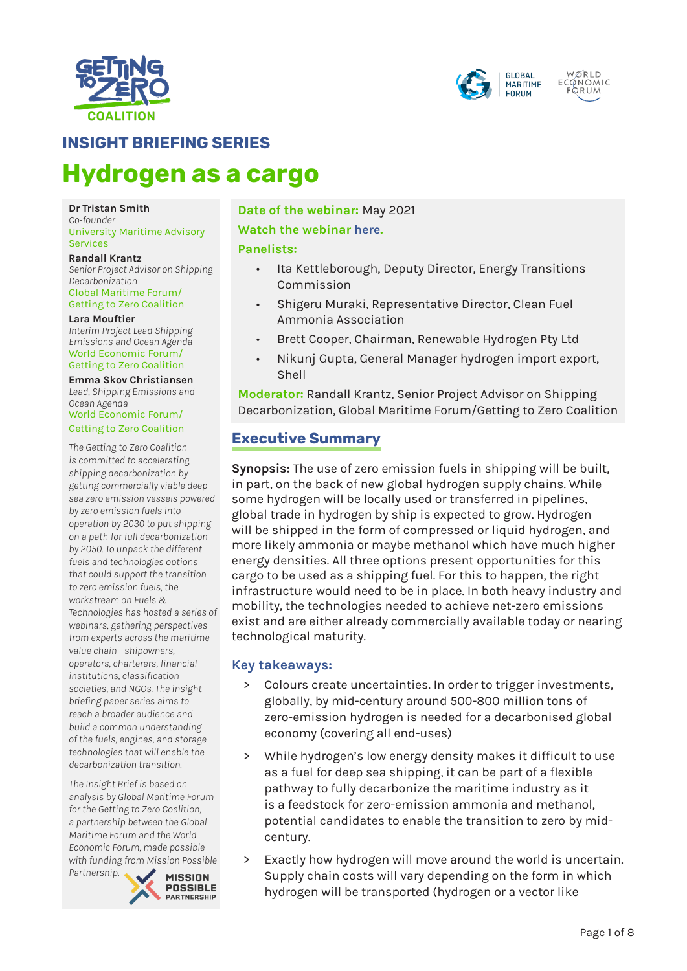



# **INSIGHT BRIEFING SERIES**

# **Hydrogen as a cargo**

#### **Dr Tristan Smith** *Co-founder* University Maritime Advisory Services

**Randall Krantz** *Senior Project Advisor on Shipping Decarbonization* Global Maritime Forum/ Getting to Zero Coalition

#### **Lara Mouftier**

*Interim Project Lead Shipping Emissions and Ocean Agenda* World Economic Forum/ Getting to Zero Coalition

#### **Emma Skov Christiansen**

*Lead, Shipping Emissions and Ocean Agenda* World Economic Forum/

Getting to Zero Coalition

*The Getting to Zero Coalition is committed to accelerating shipping decarbonization by getting commercially viable deep sea zero emission vessels powered by zero emission fuels into operation by 2030 to put shipping on a path for full decarbonization by 2050. To unpack the different fuels and technologies options that could support the transition to zero emission fuels, the workstream on Fuels & Technologies has hosted a series of webinars, gathering perspectives from experts across the maritime value chain - shipowners, operators, charterers, financial institutions, classification societies, and NGOs. The insight briefing paper series aims to reach a broader audience and build a common understanding of the fuels, engines, and storage technologies that will enable the decarbonization transition.*

*The Insight Brief is based on analysis by Global Maritime Forum for the Getting to Zero Coalition, a partnership between the Global Maritime Forum and the World Economic Forum, made possible with funding from Mission Possible* 

*Partnership.* 



**Date of the webinar:** May 2021 **Watch the webinar [here](https://www.youtube.com/watch?v=hv9cKxYewqI&list=PLhMpuiGhAMb7yhVYC0b5mJhkJqxr4TC-Q&index=4).** 

#### **Panelists:**

- Ita Kettleborough, Deputy Director, Energy Transitions Commission
- Shigeru Muraki, Representative Director, Clean Fuel Ammonia Association
- Brett Cooper, Chairman, Renewable Hydrogen Pty Ltd
- Nikunj Gupta, General Manager hydrogen import export, Shell

**Moderator:** Randall Krantz, Senior Project Advisor on Shipping Decarbonization, Global Maritime Forum/Getting to Zero Coalition

# **Executive Summary**

**Synopsis:** The use of zero emission fuels in shipping will be built, in part, on the back of new global hydrogen supply chains. While some hydrogen will be locally used or transferred in pipelines, global trade in hydrogen by ship is expected to grow. Hydrogen will be shipped in the form of compressed or liquid hydrogen, and more likely ammonia or maybe methanol which have much higher energy densities. All three options present opportunities for this cargo to be used as a shipping fuel. For this to happen, the right infrastructure would need to be in place. In both heavy industry and mobility, the technologies needed to achieve net-zero emissions exist and are either already commercially available today or nearing technological maturity.

#### **Key takeaways:**

- Colours create uncertainties. In order to trigger investments, globally, by mid-century around 500-800 million tons of zero-emission hydrogen is needed for a decarbonised global economy (covering all end-uses)
- While hydrogen's low energy density makes it difficult to use as a fuel for deep sea shipping, it can be part of a flexible pathway to fully decarbonize the maritime industry as it is a feedstock for zero-emission ammonia and methanol, potential candidates to enable the transition to zero by midcentury.
- > Exactly how hydrogen will move around the world is uncertain. Supply chain costs will vary depending on the form in which hydrogen will be transported (hydrogen or a vector like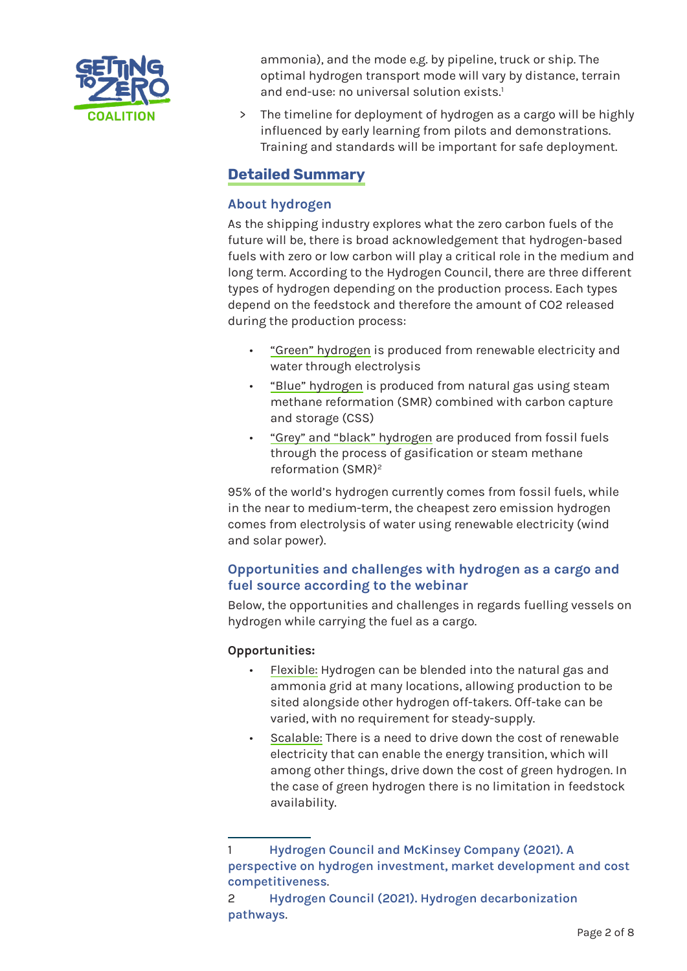

ammonia), and the mode e.g. by pipeline, truck or ship. The optimal hydrogen transport mode will vary by distance, terrain and end-use: no universal solution exists.<sup>1</sup>

> The timeline for deployment of hydrogen as a cargo will be highly influenced by early learning from pilots and demonstrations. Training and standards will be important for safe deployment.

## **Detailed Summary**

#### **About hydrogen**

As the shipping industry explores what the zero carbon fuels of the future will be, there is broad acknowledgement that hydrogen-based fuels with zero or low carbon will play a critical role in the medium and long term. According to the Hydrogen Council, there are three different types of hydrogen depending on the production process. Each types depend on the feedstock and therefore the amount of CO2 released during the production process:

- "Green" hydrogen is produced from renewable electricity and water through electrolysis
- "Blue" hydrogen is produced from natural gas using steam methane reformation (SMR) combined with carbon capture and storage (CSS)
- "Grey" and "black" hydrogen are produced from fossil fuels through the process of gasification or steam methane reformation (SMR)2

95% of the world's hydrogen currently comes from fossil fuels, while in the near to medium-term, the cheapest zero emission hydrogen comes from electrolysis of water using renewable electricity (wind and solar power).

## **Opportunities and challenges with hydrogen as a cargo and fuel source according to the webinar**

Below, the opportunities and challenges in regards fuelling vessels on hydrogen while carrying the fuel as a cargo.

#### **Opportunities:**

- Flexible: Hydrogen can be blended into the natural gas and ammonia grid at many locations, allowing production to be sited alongside other hydrogen off-takers. Off-take can be varied, with no requirement for steady-supply.
- Scalable: There is a need to drive down the cost of renewable electricity that can enable the energy transition, which will among other things, drive down the cost of green hydrogen. In the case of green hydrogen there is no limitation in feedstock availability.

<sup>1</sup> **[Hydrogen Council and McKinsey Company \(2021\). A](https://hydrogencouncil.com/wp-content/uploads/2021/02/Hydrogen-Insights-2021.pdf)  [perspective on hydrogen investment, market development and cost](https://hydrogencouncil.com/wp-content/uploads/2021/02/Hydrogen-Insights-2021.pdf)  [competitiveness](https://hydrogencouncil.com/wp-content/uploads/2021/02/Hydrogen-Insights-2021.pdf)**.

<sup>2</sup> **[Hydrogen Council \(2021\). Hydrogen decarbonization](https://hydrogencouncil.com/wp-content/uploads/2021/01/Hydrogen-Council-Report_Decarbonization-Pathways_Part-2_Supply-Scenarios.pdf)  [pathways](https://hydrogencouncil.com/wp-content/uploads/2021/01/Hydrogen-Council-Report_Decarbonization-Pathways_Part-2_Supply-Scenarios.pdf)**.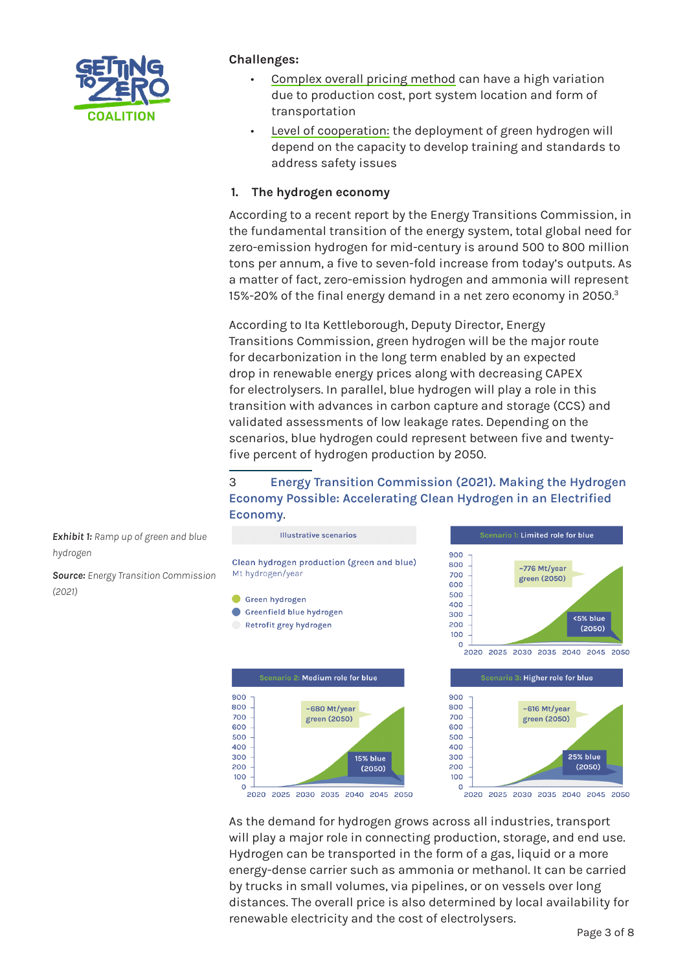

#### **Challenges:**

- Complex overall pricing method can have a high variation due to production cost, port system location and form of transportation
- Level of cooperation: the deployment of green hydrogen will depend on the capacity to develop training and standards to address safety issues

#### **1. The hydrogen economy**

According to a recent report by the Energy Transitions Commission, in the fundamental transition of the energy system, total global need for zero-emission hydrogen for mid-century is around 500 to 800 million tons per annum, a five to seven-fold increase from today's outputs. As a matter of fact, zero-emission hydrogen and ammonia will represent 15%-20% of the final energy demand in a net zero economy in 2050.<sup>3</sup>

According to Ita Kettleborough, Deputy Director, Energy Transitions Commission, green hydrogen will be the major route for decarbonization in the long term enabled by an expected drop in renewable energy prices along with decreasing CAPEX for electrolysers. In parallel, blue hydrogen will play a role in this transition with advances in carbon capture and storage (CCS) and validated assessments of low leakage rates. Depending on the scenarios, blue hydrogen could represent between five and twentyfive percent of hydrogen production by 2050.

## 3 **[Energy Transition Commission \(2021\). Making the Hydrogen](https://www.energy-transitions.org/publications/making-clean-hydrogen-possible/)  [Economy Possible: Accelerating Clean Hydrogen in an Electrified](https://www.energy-transitions.org/publications/making-clean-hydrogen-possible/)  [Economy](https://www.energy-transitions.org/publications/making-clean-hydrogen-possible/)**.

**Illustrative scenarios** cenario 1: Li<mark>mited role for blue</mark> 900 Clean hydrogen production (green and blue) 800 ~776 Mt/year Mt hydrogen/year 700 green (2050)  $600$  $500$ Green hydrogen  $0.001$ Greenfield blue hydrogen  $300$ <5% blue Retrofit grey hydrogen 200  $(2050)$ 100  $\Omega$ 2020 2025 2030 2035 2040 2045 2050 cenario 2: M<mark>edium role for blue</mark> Scenario 3: <mark>Higher role for blue</mark> 900 900 800 ~680 Mt/year 800 ~616 Mt/year 700 700 green (2050) green (2050) 600 600 500 500 400 400 25% blue 300 15% blue 300 200 200  $(2050)$  $(2050)$ 100 100  $\circ$  $\circ$ 



2020 2025 2030 2035 2040 2045 2050

As the demand for hydrogen grows across all industries, transport will play a major role in connecting production, storage, and end use. Hydrogen can be transported in the form of a gas, liquid or a more energy-dense carrier such as ammonia or methanol. It can be carried by trucks in small volumes, via pipelines, or on vessels over long distances. The overall price is also determined by local availability for renewable electricity and the cost of electrolysers.

*Exhibit 1: Ramp up of green and blue hydrogen*

*Source: Energy Transition Commission (2021)*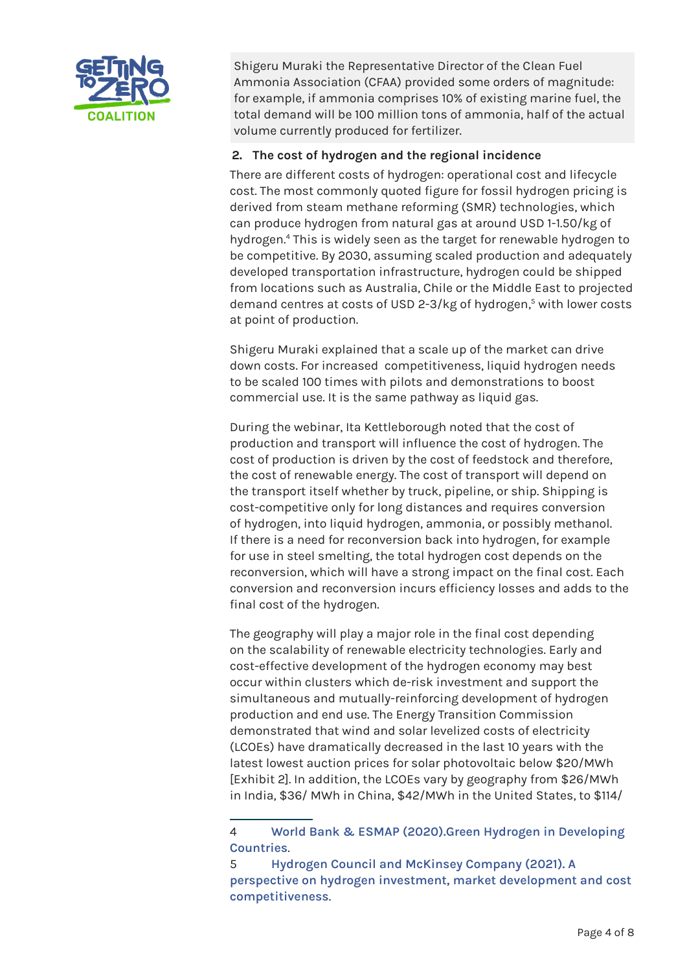

Shigeru Muraki the Representative Director of the Clean Fuel Ammonia Association (CFAA) provided some orders of magnitude: for example, if ammonia comprises 10% of existing marine fuel, the total demand will be 100 million tons of ammonia, half of the actual volume currently produced for fertilizer.

#### **2. The cost of hydrogen and the regional incidence**

There are different costs of hydrogen: operational cost and lifecycle cost. The most commonly quoted figure for fossil hydrogen pricing is derived from steam methane reforming (SMR) technologies, which can produce hydrogen from natural gas at around USD 1-1.50/kg of hydrogen.4 This is widely seen as the target for renewable hydrogen to be competitive. By 2030, assuming scaled production and adequately developed transportation infrastructure, hydrogen could be shipped from locations such as Australia, Chile or the Middle East to projected demand centres at costs of USD 2-3/kg of hydrogen,<sup>5</sup> with lower costs at point of production.

Shigeru Muraki explained that a scale up of the market can drive down costs. For increased competitiveness, liquid hydrogen needs to be scaled 100 times with pilots and demonstrations to boost commercial use. It is the same pathway as liquid gas.

During the webinar, Ita Kettleborough noted that the cost of production and transport will influence the cost of hydrogen. The cost of production is driven by the cost of feedstock and therefore, the cost of renewable energy. The cost of transport will depend on the transport itself whether by truck, pipeline, or ship. Shipping is cost-competitive only for long distances and requires conversion of hydrogen, into liquid hydrogen, ammonia, or possibly methanol. If there is a need for reconversion back into hydrogen, for example for use in steel smelting, the total hydrogen cost depends on the reconversion, which will have a strong impact on the final cost. Each conversion and reconversion incurs efficiency losses and adds to the final cost of the hydrogen.

The geography will play a major role in the final cost depending on the scalability of renewable electricity technologies. Early and cost-effective development of the hydrogen economy may best occur within clusters which de-risk investment and support the simultaneous and mutually-reinforcing development of hydrogen production and end use. The Energy Transition Commission demonstrated that wind and solar levelized costs of electricity (LCOEs) have dramatically decreased in the last 10 years with the latest lowest auction prices for solar photovoltaic below \$20/MWh [Exhibit 2]. In addition, the LCOEs vary by geography from \$26/MWh in India, \$36/ MWh in China, \$42/MWh in the United States, to \$114/

<sup>4</sup> **[World Bank & ESMAP \(2020\).Green Hydrogen in Developing](https://documents1.worldbank.org/curated/en/953571597951239276/pdf/Green-Hydrogen-in-Developing-Countries.pdf)  [Countries](https://documents1.worldbank.org/curated/en/953571597951239276/pdf/Green-Hydrogen-in-Developing-Countries.pdf)**.

<sup>5</sup> **[Hydrogen Council and McKinsey Company \(2021\). A](https://hydrogencouncil.com/wp-content/uploads/2021/02/Hydrogen-Insights-2021.pdf)  [perspective on hydrogen investment, market development and cost](https://hydrogencouncil.com/wp-content/uploads/2021/02/Hydrogen-Insights-2021.pdf)  [competitiveness](https://hydrogencouncil.com/wp-content/uploads/2021/02/Hydrogen-Insights-2021.pdf)**.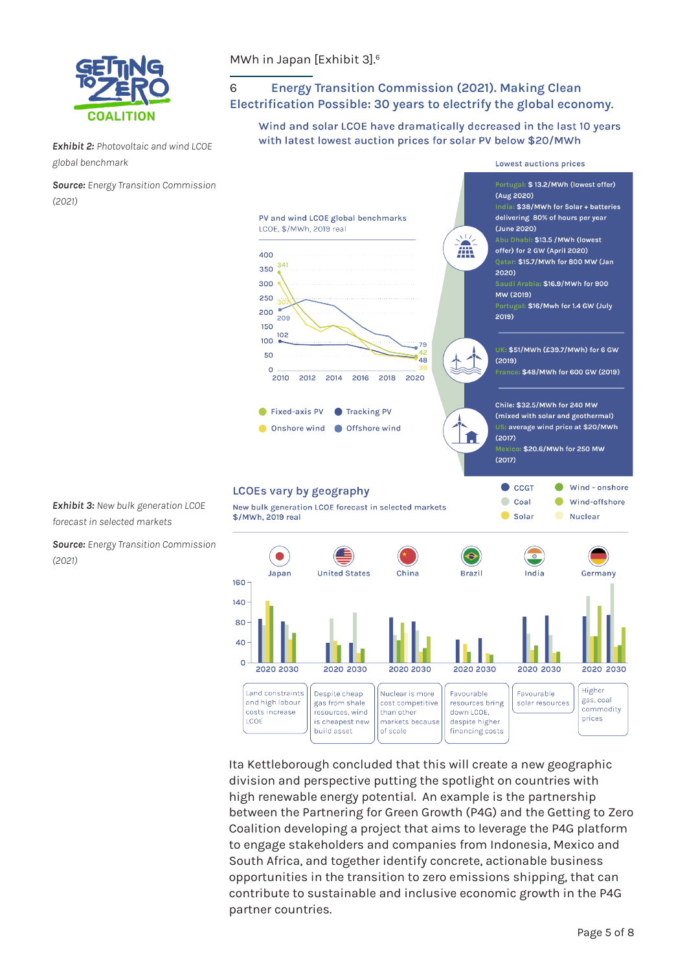

*Exhibit 2: Photovoltaic and wind LCOE global benchmark*

*Source: Energy Transition Commission (2021)*

#### MWh in Japan [Exhibit 3].6

## 6 **[Energy Transition Commission \(2021\). Making Clean](https://www.energy-transitions.org/publications/making-clean-electricity-possible/#download-form)  [Electrification Possible: 30 years to electrify the global economy](https://www.energy-transitions.org/publications/making-clean-electricity-possible/#download-form)**.

Wind and solar LCOE have dramatically decreased in the last 10 years with latest lowest auction prices for solar PV below \$20/MWh



Ita Kettleborough concluded that this will create a new geographic division and perspective putting the spotlight on countries with high renewable energy potential. An example is the partnership between the Partnering for Green Growth (P4G) and the Getting to Zero Coalition developing a project that aims to leverage the P4G platform to engage stakeholders and companies from Indonesia, Mexico and South Africa, and together identify concrete, actionable business opportunities in the transition to zero emissions shipping, that can contribute to sustainable and inclusive economic growth in the P4G partner countries.

despite higher

financing costs

markets because

of scale

is cheapest new

build asset

*Exhibit 3: New bulk generation LCOE forecast in selected markets*

*Source: Energy Transition Commission (2021)*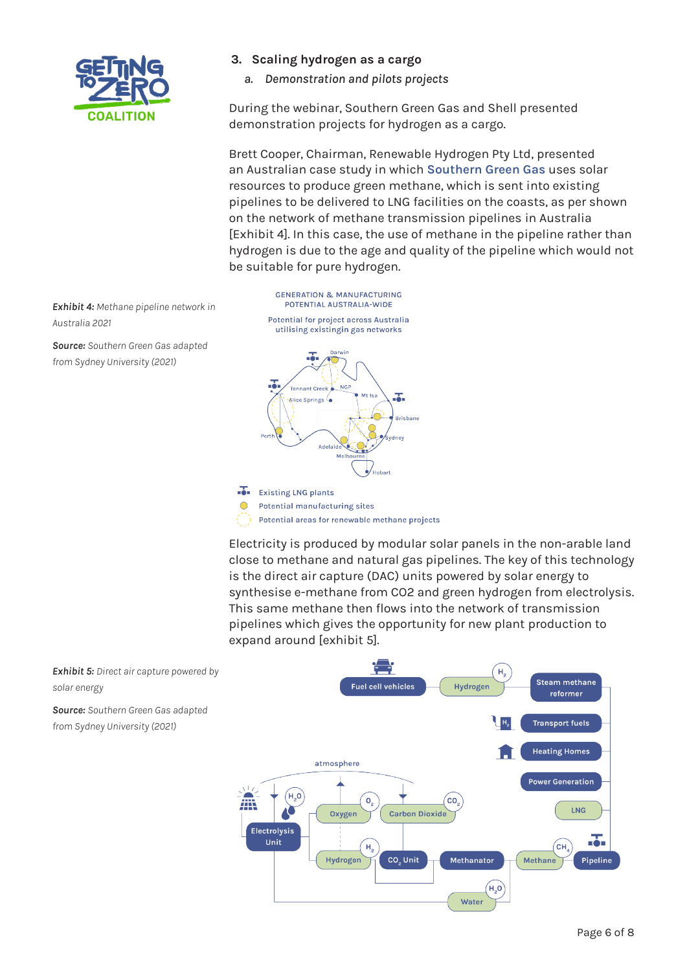

#### **3. Scaling hydrogen as a cargo**

*a. Demonstration and pilots projects*

During the webinar, Southern Green Gas and Shell presented demonstration projects for hydrogen as a cargo.

Brett Cooper, Chairman, Renewable Hydrogen Pty Ltd, presented an Australian case study in which **[Southern Green Gas](https://www.southerngreengas.com.au/)** uses solar resources to produce green methane, which is sent into existing pipelines to be delivered to LNG facilities on the coasts, as per shown on the network of methane transmission pipelines in Australia [Exhibit 4]. In this case, the use of methane in the pipeline rather than hydrogen is due to the age and quality of the pipeline which would not be suitable for pure hydrogen.

*Exhibit 4: Methane pipeline network in Australia 2021* 

*Source: Southern Green Gas adapted from Sydney University (2021)*

**GENERATION & MANUFACTURING** POTENTIAL AUSTRALIA-WIDE Potential for project across Australia utilising existingin gas networks



Potential areas for renewable methane projects

Electricity is produced by modular solar panels in the non-arable land close to methane and natural gas pipelines. The key of this technology is the direct air capture (DAC) units powered by solar energy to synthesise e-methane from CO2 and green hydrogen from electrolysis. This same methane then flows into the network of transmission pipelines which gives the opportunity for new plant production to expand around [exhibit 5].

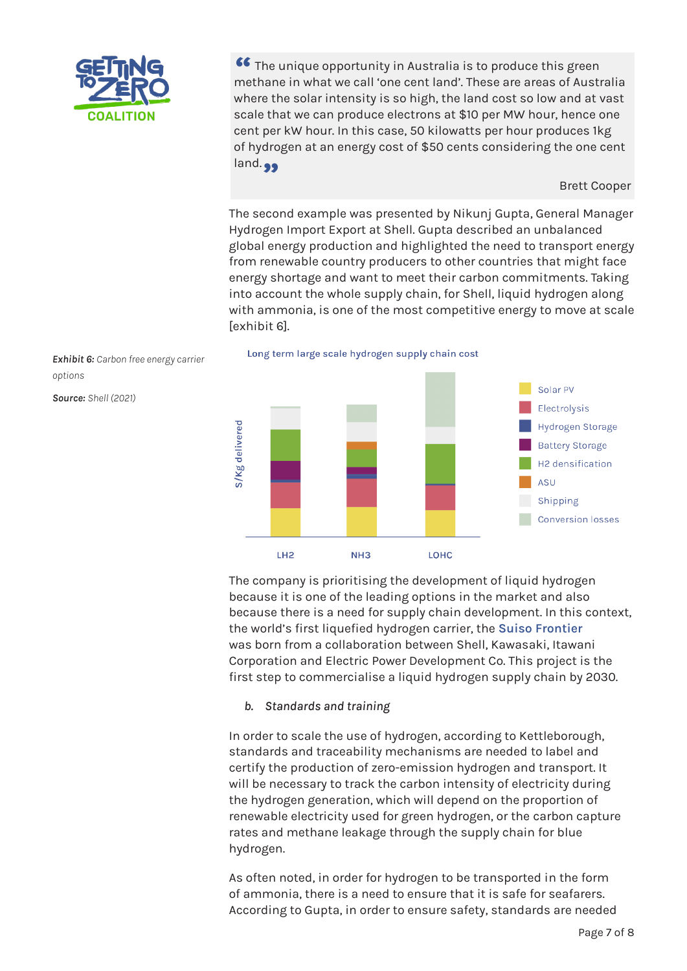

 The unique opportunity in Australia is to produce this green **\*\*** The unique opportunity in Australia is to produce this green methane in what we call 'one cent land'. These are areas of Australia where the solar intensity is so high, the land cost so low and at vast scale that we can produce electrons at \$10 per MW hour, hence one cent per kW hour. In this case, 50 kilowatts per hour produces 1kg of hydrogen at an energy cost of \$50 cents considering the one cent and.<sub>99</sub>

Brett Cooper

The second example was presented by Nikunj Gupta, General Manager Hydrogen Import Export at Shell. Gupta described an unbalanced global energy production and highlighted the need to transport energy from renewable country producers to other countries that might face energy shortage and want to meet their carbon commitments. Taking into account the whole supply chain, for Shell, liquid hydrogen along with ammonia, is one of the most competitive energy to move at scale [exhibit 6].

Long term large scale hydrogen supply chain cost Solar PV Electrolysis S/Kg delivered **Hydrogen Storage Battery Storage** H<sub>2</sub> densification ASU Shipping **Conversion losses**  $NH3$ LOHC TH<sub>2</sub>

The company is prioritising the development of liquid hydrogen because it is one of the leading options in the market and also because there is a need for supply chain development. In this context, the world's first liquefied hydrogen carrier, the **[Suiso Frontier](https://global.kawasaki.com/en/corp/newsroom/news/detail/?f=20191211_3487&wovn=fr)** was born from a collaboration between Shell, Kawasaki, Itawani Corporation and Electric Power Development Co. This project is the first step to commercialise a liquid hydrogen supply chain by 2030.

#### *b. Standards and training*

In order to scale the use of hydrogen, according to Kettleborough, standards and traceability mechanisms are needed to label and certify the production of zero-emission hydrogen and transport. It will be necessary to track the carbon intensity of electricity during the hydrogen generation, which will depend on the proportion of renewable electricity used for green hydrogen, or the carbon capture rates and methane leakage through the supply chain for blue hydrogen.

As often noted, in order for hydrogen to be transported in the form of ammonia, there is a need to ensure that it is safe for seafarers. According to Gupta, in order to ensure safety, standards are needed

*Exhibit 6: Carbon free energy carrier options*

*Source: Shell (2021)*